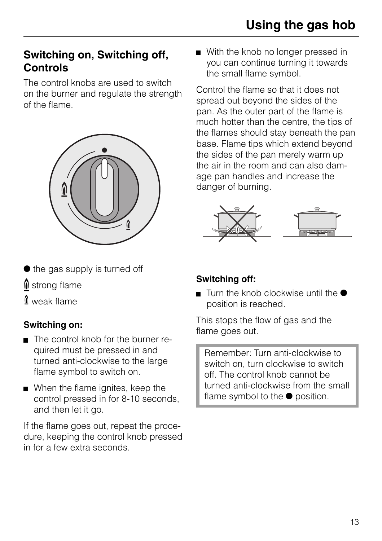# **Switching on, Switching off, Controls**

The control knobs are used to switch on the burner and regulate the strength of the flame.



- $\bullet$  the gas supply is turned off
- strong flame
- / weak flame

## **Switching on:**

- The control knob for the burner required must be pressed in and turned anti-clockwise to the large flame symbol to switch on.
- When the flame ignites, keep the control pressed in for 8-10 seconds, and then let it go.

If the flame goes out, repeat the procedure, keeping the control knob pressed in for a few extra seconds.

With the knob no longer pressed in you can continue turning it towards the small flame symbol.

Control the flame so that it does not spread out beyond the sides of the pan. As the outer part of the flame is much hotter than the centre, the tips of the flames should stay beneath the pan base. Flame tips which extend beyond the sides of the pan merely warm up the air in the room and can also damage pan handles and increase the danger of burning.



## **Switching off:**

Turn the knob clockwise until the  $\bullet$ position is reached.

This stops the flow of gas and the flame goes out.

Remember: Turn anti-clockwise to switch on, turn clockwise to switch off. The control knob cannot be turned anti-clockwise from the small flame symbol to the  $\bullet$  position.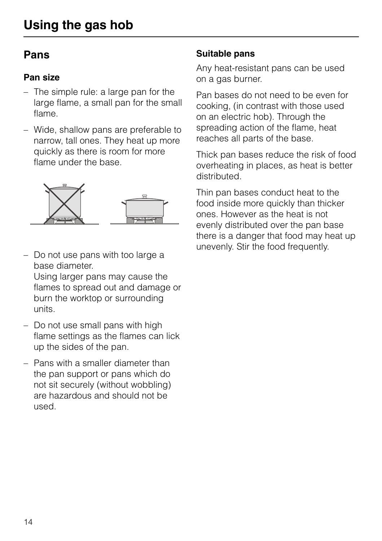# **Pans**

#### **Pan size**

- The simple rule: a large pan for the large flame, a small pan for the small flame.
- Wide, shallow pans are preferable to narrow, tall ones. They heat up more quickly as there is room for more flame under the base.



– Do not use pans with too large a base diameter. Using larger pans may cause the

flames to spread out and damage or burn the worktop or surrounding units.

- Do not use small pans with high flame settings as the flames can lick up the sides of the pan.
- Pans with a smaller diameter than the pan support or pans which do not sit securely (without wobbling) are hazardous and should not be used.

#### **Suitable pans**

Any heat-resistant pans can be used on a gas burner.

Pan bases do not need to be even for cooking, (in contrast with those used on an electric hob). Through the spreading action of the flame, heat reaches all parts of the base.

Thick pan bases reduce the risk of food overheating in places, as heat is better distributed.

Thin pan bases conduct heat to the food inside more quickly than thicker ones. However as the heat is not evenly distributed over the pan base there is a danger that food may heat up unevenly. Stir the food frequently.